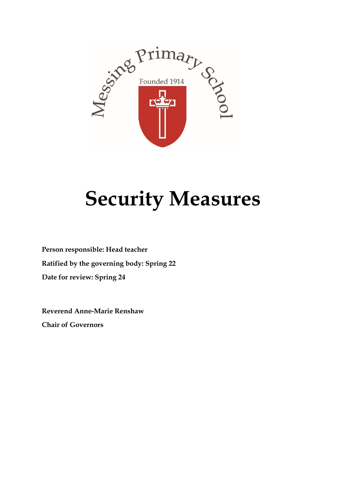

## **Security Measures**

**Person responsible: Head teacher Ratified by the governing body: Spring 22 Date for review: Spring 24**

**Reverend Anne-Marie Renshaw Chair of Governors**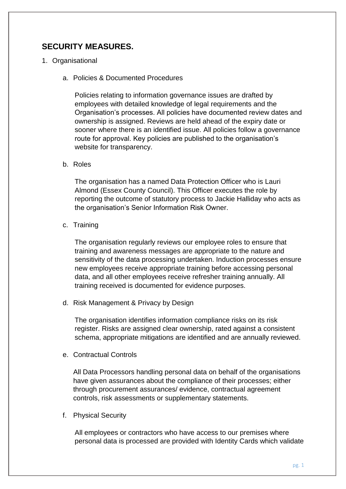## **SECURITY MEASURES.**

- 1. Organisational
	- a. Policies & Documented Procedures

Policies relating to information governance issues are drafted by employees with detailed knowledge of legal requirements and the Organisation's processes. All policies have documented review dates and ownership is assigned. Reviews are held ahead of the expiry date or sooner where there is an identified issue. All policies follow a governance route for approval. Key policies are published to the organisation's website for transparency.

b. Roles

The organisation has a named Data Protection Officer who is Lauri Almond (Essex County Council). This Officer executes the role by reporting the outcome of statutory process to Jackie Halliday who acts as the organisation's Senior Information Risk Owner.

c. Training

The organisation regularly reviews our employee roles to ensure that training and awareness messages are appropriate to the nature and sensitivity of the data processing undertaken. Induction processes ensure new employees receive appropriate training before accessing personal data, and all other employees receive refresher training annually. All training received is documented for evidence purposes.

d. Risk Management & Privacy by Design

The organisation identifies information compliance risks on its risk register. Risks are assigned clear ownership, rated against a consistent schema, appropriate mitigations are identified and are annually reviewed.

e. Contractual Controls

All Data Processors handling personal data on behalf of the organisations have given assurances about the compliance of their processes; either through procurement assurances/ evidence, contractual agreement controls, risk assessments or supplementary statements.

f. Physical Security

All employees or contractors who have access to our premises where personal data is processed are provided with Identity Cards which validate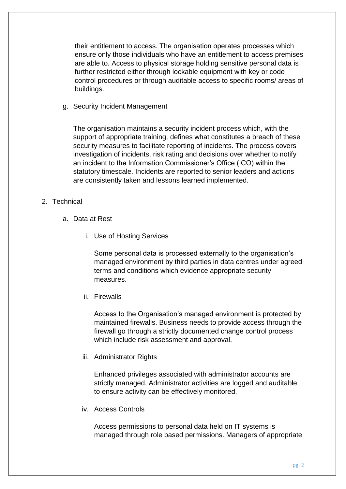their entitlement to access. The organisation operates processes which ensure only those individuals who have an entitlement to access premises are able to. Access to physical storage holding sensitive personal data is further restricted either through lockable equipment with key or code control procedures or through auditable access to specific rooms/ areas of buildings.

g. Security Incident Management

The organisation maintains a security incident process which, with the support of appropriate training, defines what constitutes a breach of these security measures to facilitate reporting of incidents. The process covers investigation of incidents, risk rating and decisions over whether to notify an incident to the Information Commissioner's Office (ICO) within the statutory timescale. Incidents are reported to senior leaders and actions are consistently taken and lessons learned implemented.

- 2. Technical
	- a. Data at Rest
		- i. Use of Hosting Services

Some personal data is processed externally to the organisation's managed environment by third parties in data centres under agreed terms and conditions which evidence appropriate security measures.

ii. Firewalls

Access to the Organisation's managed environment is protected by maintained firewalls. Business needs to provide access through the firewall go through a strictly documented change control process which include risk assessment and approval.

iii. Administrator Rights

Enhanced privileges associated with administrator accounts are strictly managed. Administrator activities are logged and auditable to ensure activity can be effectively monitored.

iv. Access Controls

Access permissions to personal data held on IT systems is managed through role based permissions. Managers of appropriate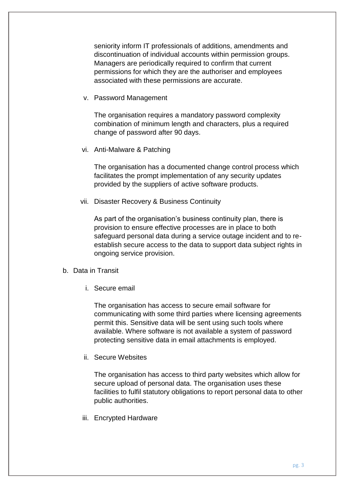seniority inform IT professionals of additions, amendments and discontinuation of individual accounts within permission groups. Managers are periodically required to confirm that current permissions for which they are the authoriser and employees associated with these permissions are accurate.

v. Password Management

The organisation requires a mandatory password complexity combination of minimum length and characters, plus a required change of password after 90 days.

vi. Anti-Malware & Patching

The organisation has a documented change control process which facilitates the prompt implementation of any security updates provided by the suppliers of active software products.

vii. Disaster Recovery & Business Continuity

As part of the organisation's business continuity plan, there is provision to ensure effective processes are in place to both safeguard personal data during a service outage incident and to reestablish secure access to the data to support data subject rights in ongoing service provision.

- b. Data in Transit
	- i. Secure email

The organisation has access to secure email software for communicating with some third parties where licensing agreements permit this. Sensitive data will be sent using such tools where available. Where software is not available a system of password protecting sensitive data in email attachments is employed.

ii. Secure Websites

The organisation has access to third party websites which allow for secure upload of personal data. The organisation uses these facilities to fulfil statutory obligations to report personal data to other public authorities.

iii. Encrypted Hardware